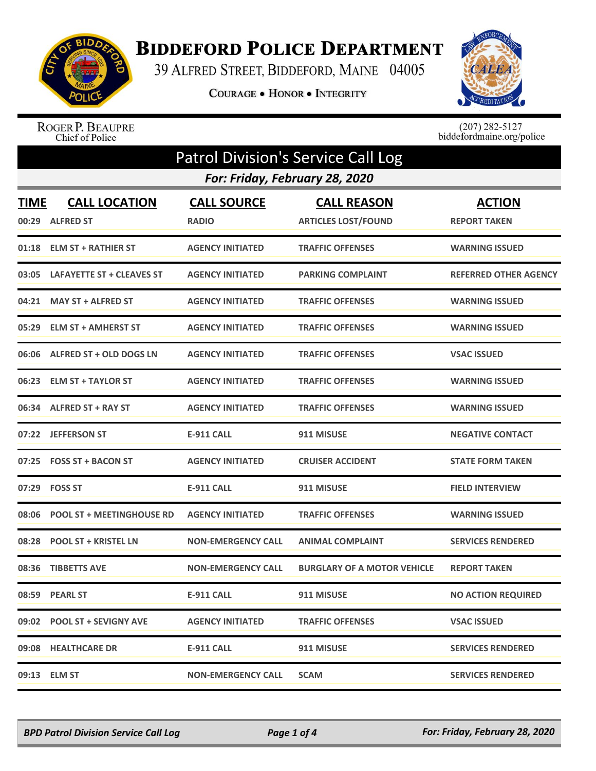

## **BIDDEFORD POLICE DEPARTMENT**

39 ALFRED STREET, BIDDEFORD, MAINE 04005

COURAGE . HONOR . INTEGRITY



ROGER P. BEAUPRE<br>Chief of Police

 $(207)$  282-5127<br>biddefordmaine.org/police

| <b>Patrol Division's Service Call Log</b> |                                          |                                    |                                                  |                                      |  |  |
|-------------------------------------------|------------------------------------------|------------------------------------|--------------------------------------------------|--------------------------------------|--|--|
|                                           | For: Friday, February 28, 2020           |                                    |                                                  |                                      |  |  |
| <b>TIME</b><br>00:29                      | <b>CALL LOCATION</b><br><b>ALFRED ST</b> | <b>CALL SOURCE</b><br><b>RADIO</b> | <b>CALL REASON</b><br><b>ARTICLES LOST/FOUND</b> | <b>ACTION</b><br><b>REPORT TAKEN</b> |  |  |
| 01:18                                     | <b>ELM ST + RATHIER ST</b>               | <b>AGENCY INITIATED</b>            | <b>TRAFFIC OFFENSES</b>                          | <b>WARNING ISSUED</b>                |  |  |
| 03:05                                     | <b>LAFAYETTE ST + CLEAVES ST</b>         | <b>AGENCY INITIATED</b>            | <b>PARKING COMPLAINT</b>                         | <b>REFERRED OTHER AGENCY</b>         |  |  |
| 04:21                                     | <b>MAY ST + ALFRED ST</b>                | <b>AGENCY INITIATED</b>            | <b>TRAFFIC OFFENSES</b>                          | <b>WARNING ISSUED</b>                |  |  |
| 05:29                                     | <b>ELM ST + AMHERST ST</b>               | <b>AGENCY INITIATED</b>            | <b>TRAFFIC OFFENSES</b>                          | <b>WARNING ISSUED</b>                |  |  |
| 06:06                                     | ALFRED ST + OLD DOGS LN                  | <b>AGENCY INITIATED</b>            | <b>TRAFFIC OFFENSES</b>                          | <b>VSAC ISSUED</b>                   |  |  |
| 06:23                                     | <b>ELM ST + TAYLOR ST</b>                | <b>AGENCY INITIATED</b>            | <b>TRAFFIC OFFENSES</b>                          | <b>WARNING ISSUED</b>                |  |  |
| 06:34                                     | ALFRED ST + RAY ST                       | <b>AGENCY INITIATED</b>            | <b>TRAFFIC OFFENSES</b>                          | <b>WARNING ISSUED</b>                |  |  |
|                                           | 07:22 JEFFERSON ST                       | <b>E-911 CALL</b>                  | 911 MISUSE                                       | <b>NEGATIVE CONTACT</b>              |  |  |
| 07:25                                     | <b>FOSS ST + BACON ST</b>                | <b>AGENCY INITIATED</b>            | <b>CRUISER ACCIDENT</b>                          | <b>STATE FORM TAKEN</b>              |  |  |
| 07:29                                     | <b>FOSS ST</b>                           | <b>E-911 CALL</b>                  | 911 MISUSE                                       | <b>FIELD INTERVIEW</b>               |  |  |
| 08:06                                     | <b>POOL ST + MEETINGHOUSE RD</b>         | <b>AGENCY INITIATED</b>            | <b>TRAFFIC OFFENSES</b>                          | <b>WARNING ISSUED</b>                |  |  |
| 08:28                                     | <b>POOL ST + KRISTEL LN</b>              | <b>NON-EMERGENCY CALL</b>          | <b>ANIMAL COMPLAINT</b>                          | <b>SERVICES RENDERED</b>             |  |  |
| 08:36                                     | <b>TIBBETTS AVE</b>                      | <b>NON-EMERGENCY CALL</b>          | <b>BURGLARY OF A MOTOR VEHICLE</b>               | <b>REPORT TAKEN</b>                  |  |  |
|                                           | 08:59 PEARL ST                           | E-911 CALL                         | 911 MISUSE                                       | <b>NO ACTION REQUIRED</b>            |  |  |
|                                           | 09:02 POOL ST + SEVIGNY AVE              | <b>AGENCY INITIATED</b>            | <b>TRAFFIC OFFENSES</b>                          | <b>VSAC ISSUED</b>                   |  |  |
|                                           | 09:08 HEALTHCARE DR                      | <b>E-911 CALL</b>                  | 911 MISUSE                                       | <b>SERVICES RENDERED</b>             |  |  |
|                                           | 09:13 ELM ST                             | <b>NON-EMERGENCY CALL</b>          | <b>SCAM</b>                                      | <b>SERVICES RENDERED</b>             |  |  |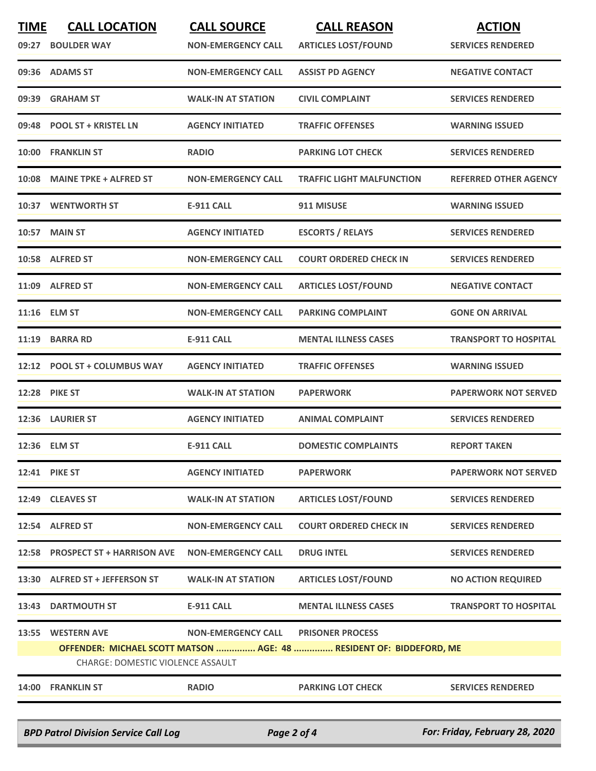| <b>TIME</b><br>09:27 | <b>CALL LOCATION</b><br><b>BOULDER WAY</b>                     | <b>CALL SOURCE</b><br><b>NON-EMERGENCY CALL</b> | <b>CALL REASON</b><br><b>ARTICLES LOST/FOUND</b>                                               | <b>ACTION</b><br><b>SERVICES RENDERED</b> |
|----------------------|----------------------------------------------------------------|-------------------------------------------------|------------------------------------------------------------------------------------------------|-------------------------------------------|
|                      | 09:36 ADAMS ST                                                 | <b>NON-EMERGENCY CALL</b>                       | <b>ASSIST PD AGENCY</b>                                                                        | <b>NEGATIVE CONTACT</b>                   |
| 09:39                | <b>GRAHAM ST</b>                                               | <b>WALK-IN AT STATION</b>                       | <b>CIVIL COMPLAINT</b>                                                                         | <b>SERVICES RENDERED</b>                  |
|                      | 09:48 POOL ST + KRISTEL LN                                     | <b>AGENCY INITIATED</b>                         | <b>TRAFFIC OFFENSES</b>                                                                        | <b>WARNING ISSUED</b>                     |
| 10:00                | <b>FRANKLIN ST</b>                                             | <b>RADIO</b>                                    | <b>PARKING LOT CHECK</b>                                                                       | <b>SERVICES RENDERED</b>                  |
| 10:08                | <b>MAINE TPKE + ALFRED ST</b>                                  | <b>NON-EMERGENCY CALL</b>                       | <b>TRAFFIC LIGHT MALFUNCTION</b>                                                               | <b>REFERRED OTHER AGENCY</b>              |
|                      | 10:37 WENTWORTH ST                                             | <b>E-911 CALL</b>                               | 911 MISUSE                                                                                     | <b>WARNING ISSUED</b>                     |
|                      | 10:57 MAIN ST                                                  | <b>AGENCY INITIATED</b>                         | <b>ESCORTS / RELAYS</b>                                                                        | <b>SERVICES RENDERED</b>                  |
|                      | 10:58 ALFRED ST                                                | <b>NON-EMERGENCY CALL</b>                       | <b>COURT ORDERED CHECK IN</b>                                                                  | <b>SERVICES RENDERED</b>                  |
|                      | 11:09 ALFRED ST                                                | <b>NON-EMERGENCY CALL</b>                       | <b>ARTICLES LOST/FOUND</b>                                                                     | <b>NEGATIVE CONTACT</b>                   |
|                      | 11:16 ELM ST                                                   | <b>NON-EMERGENCY CALL</b>                       | <b>PARKING COMPLAINT</b>                                                                       | <b>GONE ON ARRIVAL</b>                    |
| 11:19                | <b>BARRA RD</b>                                                | <b>E-911 CALL</b>                               | <b>MENTAL ILLNESS CASES</b>                                                                    | <b>TRANSPORT TO HOSPITAL</b>              |
|                      | 12:12 POOL ST + COLUMBUS WAY                                   | <b>AGENCY INITIATED</b>                         | <b>TRAFFIC OFFENSES</b>                                                                        | <b>WARNING ISSUED</b>                     |
|                      | <b>12:28 PIKE ST</b>                                           | <b>WALK-IN AT STATION</b>                       | <b>PAPERWORK</b>                                                                               | <b>PAPERWORK NOT SERVED</b>               |
|                      | <b>12:36 LAURIER ST</b>                                        | <b>AGENCY INITIATED</b>                         | <b>ANIMAL COMPLAINT</b>                                                                        | <b>SERVICES RENDERED</b>                  |
|                      | 12:36 ELM ST                                                   | <b>E-911 CALL</b>                               | <b>DOMESTIC COMPLAINTS</b>                                                                     | <b>REPORT TAKEN</b>                       |
|                      | 12:41 PIKE ST                                                  | <b>AGENCY INITIATED</b>                         | <b>PAPERWORK</b>                                                                               | <b>PAPERWORK NOT SERVED</b>               |
|                      | 12:49 CLEAVES ST                                               | <b>WALK-IN AT STATION</b>                       | <b>ARTICLES LOST/FOUND</b>                                                                     | <b>SERVICES RENDERED</b>                  |
|                      | 12:54 ALFRED ST                                                | <b>NON-EMERGENCY CALL</b>                       | <b>COURT ORDERED CHECK IN</b>                                                                  | <b>SERVICES RENDERED</b>                  |
|                      | 12:58 PROSPECT ST + HARRISON AVE                               | <b>NON-EMERGENCY CALL</b>                       | <b>DRUG INTEL</b>                                                                              | <b>SERVICES RENDERED</b>                  |
|                      | 13:30 ALFRED ST + JEFFERSON ST                                 | <b>WALK-IN AT STATION</b>                       | <b>ARTICLES LOST/FOUND</b>                                                                     | <b>NO ACTION REQUIRED</b>                 |
|                      | 13:43 DARTMOUTH ST                                             | E-911 CALL                                      | <b>MENTAL ILLNESS CASES</b>                                                                    | <b>TRANSPORT TO HOSPITAL</b>              |
| 13:55                | <b>WESTERN AVE</b><br><b>CHARGE: DOMESTIC VIOLENCE ASSAULT</b> | <b>NON-EMERGENCY CALL</b>                       | <b>PRISONER PROCESS</b><br>OFFENDER: MICHAEL SCOTT MATSON  AGE: 48  RESIDENT OF: BIDDEFORD, ME |                                           |
|                      | 14:00 FRANKLIN ST                                              | <b>RADIO</b>                                    | <b>PARKING LOT CHECK</b>                                                                       | <b>SERVICES RENDERED</b>                  |
|                      |                                                                |                                                 |                                                                                                |                                           |

*BPD Patrol Division Service Call Log Page 2 of 4 For: Friday, February 28, 2020*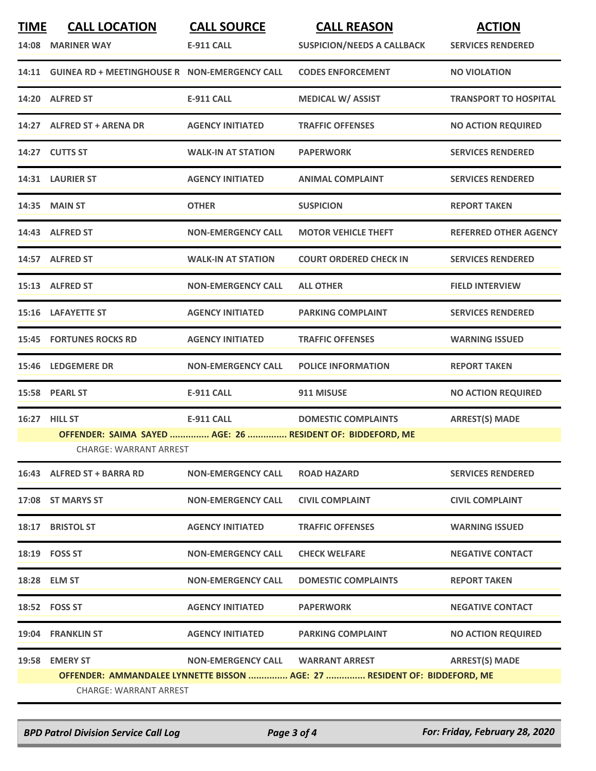| <b>TIME</b> | <b>CALL LOCATION</b><br>14:08 MARINER WAY                                            | <b>CALL SOURCE</b><br><b>E-911 CALL</b> | <b>CALL REASON</b><br><b>SUSPICION/NEEDS A CALLBACK</b>                   | <b>ACTION</b><br><b>SERVICES RENDERED</b> |  |
|-------------|--------------------------------------------------------------------------------------|-----------------------------------------|---------------------------------------------------------------------------|-------------------------------------------|--|
|             | 14:11 GUINEA RD + MEETINGHOUSE R NON-EMERGENCY CALL                                  |                                         | <b>CODES ENFORCEMENT</b>                                                  | <b>NO VIOLATION</b>                       |  |
|             | 14:20 ALFRED ST                                                                      | <b>E-911 CALL</b>                       | <b>MEDICAL W/ ASSIST</b>                                                  | <b>TRANSPORT TO HOSPITAL</b>              |  |
|             | 14:27 ALFRED ST + ARENA DR                                                           | <b>AGENCY INITIATED</b>                 | <b>TRAFFIC OFFENSES</b>                                                   | <b>NO ACTION REQUIRED</b>                 |  |
|             | 14:27 CUTTS ST                                                                       | <b>WALK-IN AT STATION</b>               | <b>PAPERWORK</b>                                                          | <b>SERVICES RENDERED</b>                  |  |
|             | 14:31 LAURIER ST                                                                     | <b>AGENCY INITIATED</b>                 | <b>ANIMAL COMPLAINT</b>                                                   | <b>SERVICES RENDERED</b>                  |  |
|             | 14:35 MAIN ST                                                                        | <b>OTHER</b>                            | <b>SUSPICION</b>                                                          | <b>REPORT TAKEN</b>                       |  |
|             | 14:43 ALFRED ST                                                                      | <b>NON-EMERGENCY CALL</b>               | <b>MOTOR VEHICLE THEFT</b>                                                | <b>REFERRED OTHER AGENCY</b>              |  |
|             | 14:57 ALFRED ST                                                                      | <b>WALK-IN AT STATION</b>               | <b>COURT ORDERED CHECK IN</b>                                             | <b>SERVICES RENDERED</b>                  |  |
|             | 15:13 ALFRED ST                                                                      | <b>NON-EMERGENCY CALL</b>               | <b>ALL OTHER</b>                                                          | <b>FIELD INTERVIEW</b>                    |  |
|             | 15:16 LAFAYETTE ST                                                                   | <b>AGENCY INITIATED</b>                 | <b>PARKING COMPLAINT</b>                                                  | <b>SERVICES RENDERED</b>                  |  |
|             | <b>15:45 FORTUNES ROCKS RD</b>                                                       | <b>AGENCY INITIATED</b>                 | <b>TRAFFIC OFFENSES</b>                                                   | <b>WARNING ISSUED</b>                     |  |
|             | 15:46 LEDGEMERE DR                                                                   | <b>NON-EMERGENCY CALL</b>               | <b>POLICE INFORMATION</b>                                                 | <b>REPORT TAKEN</b>                       |  |
|             | 15:58 PEARL ST                                                                       | <b>E-911 CALL</b>                       | 911 MISUSE                                                                | <b>NO ACTION REQUIRED</b>                 |  |
|             | 16:27 HILL ST                                                                        | <b>E-911 CALL</b>                       | <b>DOMESTIC COMPLAINTS</b>                                                | <b>ARREST(S) MADE</b>                     |  |
|             | OFFENDER: SAIMA SAYED  AGE: 26  RESIDENT OF: BIDDEFORD, ME<br>CHARGE: WARRANT ARREST |                                         |                                                                           |                                           |  |
|             | 16:43 ALFRED ST + BARRA RD                                                           | <b>NON-EMERGENCY CALL</b>               | <b>ROAD HAZARD</b>                                                        | <b>SERVICES RENDERED</b>                  |  |
|             | 17:08 ST MARYS ST                                                                    | <b>NON-EMERGENCY CALL</b>               | <b>CIVIL COMPLAINT</b>                                                    | <b>CIVIL COMPLAINT</b>                    |  |
|             | 18:17 BRISTOL ST                                                                     | <b>AGENCY INITIATED</b>                 | <b>TRAFFIC OFFENSES</b>                                                   | <b>WARNING ISSUED</b>                     |  |
|             | 18:19    FOSS ST                                                                     | <b>NON-EMERGENCY CALL</b>               | <b>CHECK WELFARE</b>                                                      | <b>NEGATIVE CONTACT</b>                   |  |
|             | 18:28 ELM ST                                                                         | <b>NON-EMERGENCY CALL</b>               | <b>DOMESTIC COMPLAINTS</b>                                                | <b>REPORT TAKEN</b>                       |  |
|             | 18:52 FOSS ST                                                                        | <b>AGENCY INITIATED</b>                 | <b>PAPERWORK</b>                                                          | <b>NEGATIVE CONTACT</b>                   |  |
|             | 19:04 FRANKLIN ST                                                                    | <b>AGENCY INITIATED</b>                 | <b>PARKING COMPLAINT</b>                                                  | <b>NO ACTION REQUIRED</b>                 |  |
|             | 19:58 EMERY ST<br>CHARGE: WARRANT ARREST                                             | NON-EMERGENCY CALL WARRANT ARREST       | OFFENDER: AMMANDALEE LYNNETTE BISSON  AGE: 27  RESIDENT OF: BIDDEFORD, ME | <b>ARREST(S) MADE</b>                     |  |

*BPD Patrol Division Service Call Log Page 3 of 4 For: Friday, February 28, 2020*